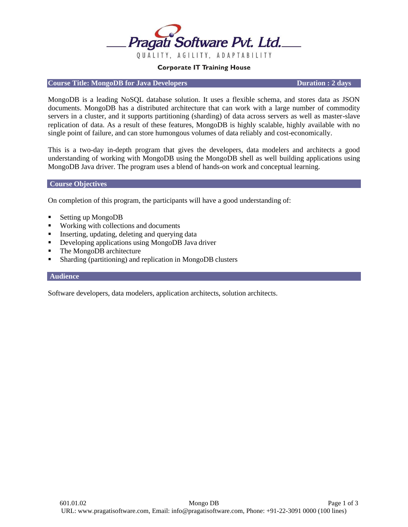

### **Corporate IT Training House**

## **Course Title: MongoDB for Java Developers Duration : 2 days**

MongoDB is a leading NoSQL database solution. It uses a flexible schema, and stores data as JSON documents. MongoDB has a distributed architecture that can work with a large number of commodity servers in a cluster, and it supports partitioning (sharding) of data across servers as well as master-slave replication of data. As a result of these features, MongoDB is highly scalable, highly available with no single point of failure, and can store humongous volumes of data reliably and cost-economically.

This is a two-day in-depth program that gives the developers, data modelers and architects a good understanding of working with MongoDB using the MongoDB shell as well building applications using MongoDB Java driver. The program uses a blend of hands-on work and conceptual learning.

#### **Course Objectives**

On completion of this program, the participants will have a good understanding of:

- Setting up MongoDB
- Working with collections and documents
- Inserting, updating, deleting and querying data
- Developing applications using MongoDB Java driver
- The MongoDB architecture
- Sharding (partitioning) and replication in MongoDB clusters

#### **Audience**

Software developers, data modelers, application architects, solution architects.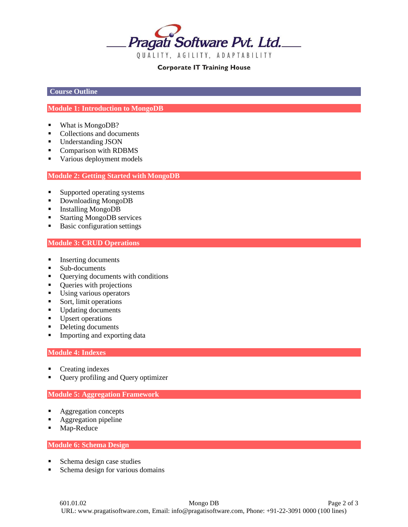

## **Corporate IT Training House**

**Course Outline**

# **Module 1: Introduction to MongoDB**

- What is MongoDB?
- Collections and documents
- Understanding JSON
- Comparison with RDBMS
- Various deployment models

## **Module 2: Getting Started with MongoDB**

- Supported operating systems
- Downloading MongoDB
- Installing MongoDB
- Starting MongoDB services
- Basic configuration settings

### **Module 3: CRUD Operations**

- Inserting documents
- Sub-documents
- Querying documents with conditions
- **•** Queries with projections
- **•** Using various operators
- Sort, limit operations
- Updating documents
- **■** Upsert operations
- Deleting documents
- **■** Importing and exporting data

### **Module 4: Indexes**

- Creating indexes
- Query profiling and Query optimizer

#### **Module 5: Aggregation Framework**

- Aggregation concepts
- Aggregation pipeline
- Map-Reduce

**Module 6: Schema Design**

- Schema design case studies
- Schema design for various domains